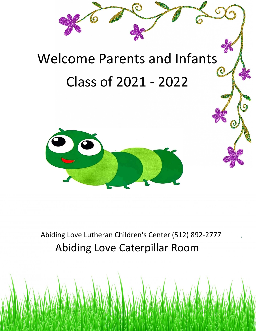



Abiding Love Lutheran Children's Center (512) 892-2777 Abiding Love Caterpillar Room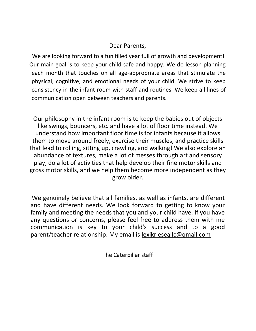#### Dear Parents,

We are looking forward to a fun filled year full of growth and development! Our main goal is to keep your child safe and happy. We do lesson planning each month that touches on all age-appropriate areas that stimulate the physical, cognitive, and emotional needs of your child. We strive to keep consistency in the infant room with staff and routines. We keep all lines of communication open between teachers and parents.

Our philosophy in the infant room is to keep the babies out of objects like swings, bouncers, etc. and have a lot of floor time instead. We understand how important floor time is for infants because it allows them to move around freely, exercise their muscles, and practice skills that lead to rolling, sitting up, crawling, and walking! We also explore an abundance of textures, make a lot of messes through art and sensory play, do a lot of activities that help develop their fine motor skills and gross motor skills, and we help them become more independent as they grow older.

We genuinely believe that all families, as well as infants, are different and have different needs. We look forward to getting to know your family and meeting the needs that you and your child have. If you have any questions or concerns, please feel free to address them with me communication is key to your child's success and to a good parent/teacher relationship. My email is lexikrieseallc@qmail.com

The Caterpillar staff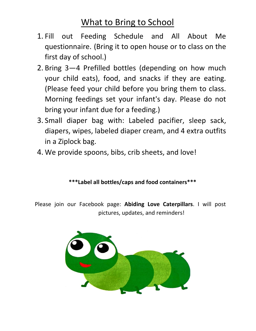# What to Bring to School

- 1. Fill out Feeding Schedule and All About Me questionnaire. (Bring it to open house or to class on the first day of school.)
- 2. Bring 3—4 Prefilled bottles (depending on how much your child eats), food, and snacks if they are eating. (Please feed your child before you bring them to class. Morning feedings set your infant's day. Please do not bring your infant due for a feeding.)
- 3. Small diaper bag with: Labeled pacifier, sleep sack, diapers, wipes, labeled diaper cream, and 4 extra outfits in a Ziplock bag.
- 4. We provide spoons, bibs, crib sheets, and love!

### **\*\*\*Label all bottles/caps and food containers\*\*\***

Please join our Facebook page: **Abiding Love Caterpillars**. I will post pictures, updates, and reminders!

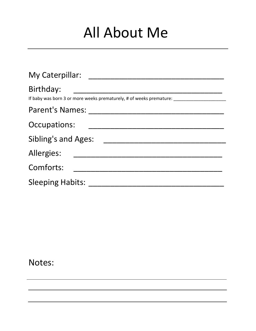# All About Me

| My Caterpillar:                                                                  |
|----------------------------------------------------------------------------------|
| Birthday:<br>If baby was born 3 or more weeks prematurely, # of weeks premature: |
| <b>Parent's Names:</b>                                                           |
| Occupations:                                                                     |
| <b>Sibling's and Ages:</b>                                                       |
| Allergies:                                                                       |
| Comforts:                                                                        |
| <b>Sleeping Habits:</b>                                                          |

Notes: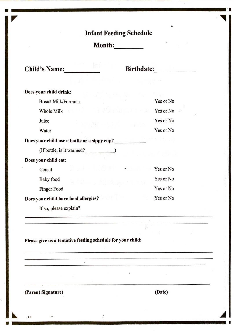## **Infant Feeding Schedule**

Month:

Child's Name:

| Does your child drink:                                                                                         |           |
|----------------------------------------------------------------------------------------------------------------|-----------|
| <b>Breast Milk/Formula</b>                                                                                     | Yes or No |
| Whole Milk and the contract of the contract of the contract of the contract of the contract of the contract of | Yes or No |
| Juice<br>ຳກວຽຍ ແລະ ໂ                                                                                           | Yes or No |
| Water                                                                                                          | Yes or No |
| Does your child use a bottle or a sippy cup?                                                                   |           |
| $($ If bottle, is it warmed?                                                                                   |           |
| Does your child eat:                                                                                           |           |
| Drout kreizh an roadeg ar<br>Cereal                                                                            | Yes or No |
| Baby food<br>a 60 - a 20 Gazet Cha                                                                             | Yes or No |
| Finger Food                                                                                                    | Yes or No |
| Does your child have food allergies?                                                                           | Yes or No |
| If so, please explain?                                                                                         |           |
|                                                                                                                |           |

 $\hat{r}$ 

Please give us a tentative feeding schedule for your child:

 $\overline{\mathcal{A}}$ 

and the control of the control of the

(Parent Signature)

(Date)

<u> 1989 - Johann Bernard, Amerikaansk politiker (d. 1988)</u>

 $\mathcal{L}_{\mathcal{L}}$ 

 $\bar{1}$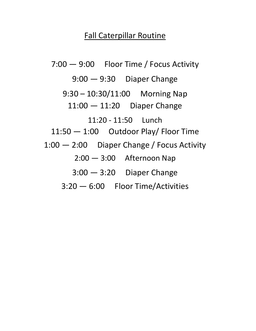## Fall Caterpillar Routine

7:00 — 9:00 Floor Time / Focus Activity 9:00 — 9:30 Diaper Change 9:30 – 10:30/11:00 Morning Nap 11:00 — 11:20 Diaper Change 11:20 - 11:50 Lunch 11:50 — 1:00 Outdoor Play/ Floor Time 1:00 — 2:00 Diaper Change / Focus Activity 2:00 — 3:00 Afternoon Nap 3:00 — 3:20 Diaper Change 3:20 — 6:00 Floor Time/Activities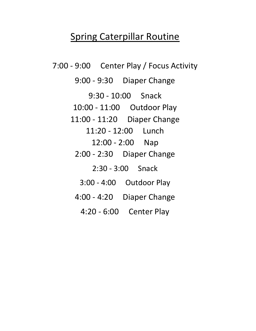## Spring Caterpillar Routine

7:00 - 9:00 Center Play / Focus Activity 9:00 - 9:30 Diaper Change 9:30 - 10:00 Snack 10:00 - 11:00 Outdoor Play 11:00 - 11:20 Diaper Change 11:20 - 12:00 Lunch 12:00 - 2:00 Nap 2:00 - 2:30 Diaper Change 2:30 - 3:00 Snack 3:00 - 4:00 Outdoor Play 4:00 - 4:20 Diaper Change 4:20 - 6:00 Center Play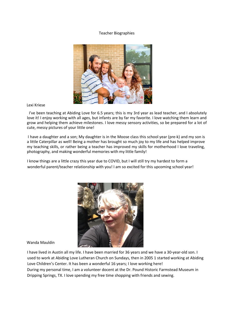#### Teacher Biographies



Lexi Kriese

I've been teaching at Abiding Love for 6.5 years; this is my 3rd year as lead teacher, and I absolutely love it! I enjoy working with all ages, but infants are by far my favorite. I love watching them learn and grow and helping them achieve milestones. I love messy sensory activities, so be prepared for a lot of cute, messy pictures of your little one!

I have a daughter and a son; My daughter is in the Moose class this school year (pre-k) and my son is a little Caterpillar as well! Being a mother has brought so much joy to my life and has helped improve my teaching skills, or rather being a teacher has improved my skills for motherhood I love traveling, photography, and making wonderful memories with my little family!

I know things are a little crazy this year due to COVID, but I will still try my hardest to form a wonderful parent/teacher relationship with you! I am so excited for this upcoming school year!



Wanda Mauldin

I have lived in Austin all my life. I have been married for 36 years and we have a 30-year-old son. I used to work at Abiding Love Lutheran Church on Sundays, then in 2005 1 started working at Abiding Love Children's Center. It has been a wonderful 16 years; I love working here! During my personal time, I am a volunteer docent at the Dr. Pound Historic Farmstead Museum in Dripping Springs, TX. I love spending my free time shopping with friends and sewing.